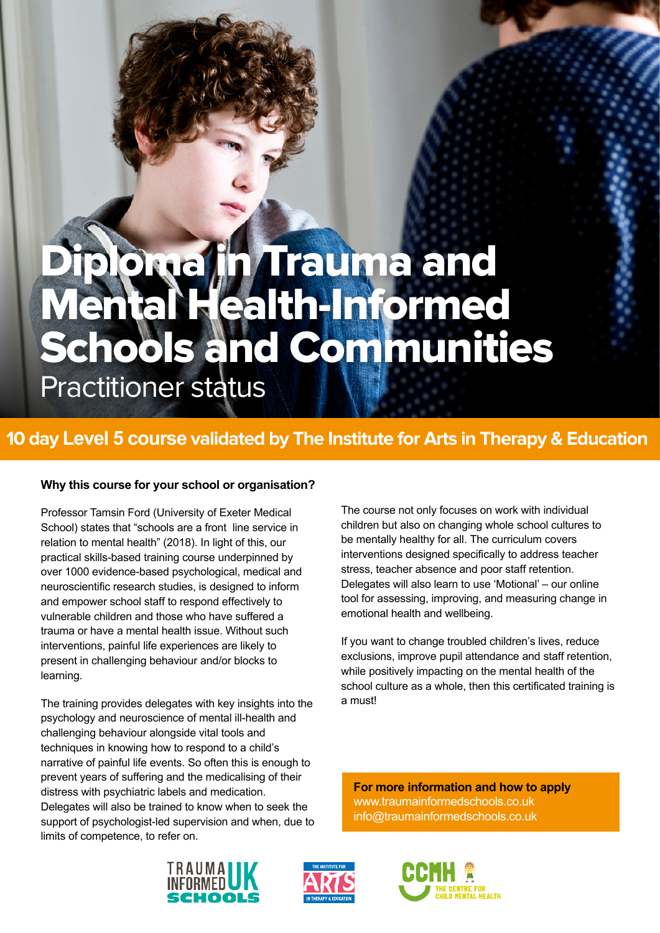# Diploma fin Trauma and Mental Health-Informed Schools and Communities

Practitioner status

## **10 day Level 5 course validated by The Institute for Arts in Therapy & Education**

#### **Why this course for your school or organisation?**

Professor Tamsin Ford (University of Exeter Medical School) states that "schools are a front line service in relation to mental health" (2018). In light of this, our practical skills-based training course underpinned by over 1000 evidence-based psychological, medical and neuroscientific research studies, is designed to inform and empower school staff to respond effectively to vulnerable children and those who have suffered a trauma or have a mental health issue. Without such interventions, painful life experiences are likely to present in challenging behaviour and/or blocks to learning.

The training provides delegates with key insights into the psychology and neuroscience of mental ill-health and challenging behaviour alongside vital tools and techniques in knowing how to respond to a child's narrative of painful life events. So often this is enough to prevent years of suffering and the medicalising of their distress with psychiatric labels and medication. Delegates will also be trained to know when to seek the support of psychologist-led supervision and when, due to limits of competence, to refer on.

The course not only focuses on work with individual children but also on changing whole school cultures to be mentally healthy for all. The curriculum covers interventions designed specifically to address teacher stress, teacher absence and poor staff retention. Delegates will also learn to use 'Motional' – our online tool for assessing, improving, and measuring change in emotional health and wellbeing.

If you want to change troubled children's lives, reduce exclusions, improve pupil attendance and staff retention, while positively impacting on the mental health of the school culture as a whole, then this certificated training is a must!

**For more information and how to apply** www.traumainformedschools.co.uk info@traumainformedschools.co.uk